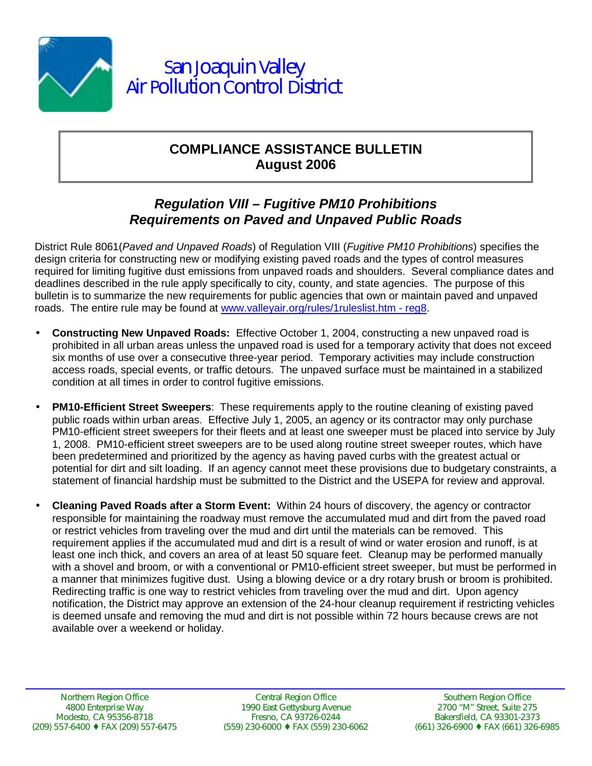

## **COMPLIANCE ASSISTANCE BULLETIN August 2006**

## *Regulation VIII – Fugitive PM10 Prohibitions Requirements on Paved and Unpaved Public Roads*

District Rule 8061(*Paved and Unpaved Roads*) of Regulation VIII (*Fugitive PM10 Prohibitions*) specifies the design criteria for constructing new or modifying existing paved roads and the types of control measures required for limiting fugitive dust emissions from unpaved roads and shoulders. Several compliance dates and deadlines described in the rule apply specifically to city, county, and state agencies. The purpose of this bulletin is to summarize the new requirements for public agencies that own or maintain paved and unpaved roads. The entire rule may be found at www.valleyair.org/rules/1ruleslist.htm - reg8.

- **Constructing New Unpaved Roads:** Effective October 1, 2004, constructing a new unpaved road is prohibited in all urban areas unless the unpaved road is used for a temporary activity that does not exceed six months of use over a consecutive three-year period. Temporary activities may include construction access roads, special events, or traffic detours. The unpaved surface must be maintained in a stabilized condition at all times in order to control fugitive emissions.
- **PM10-Efficient Street Sweepers**: These requirements apply to the routine cleaning of existing paved public roads within urban areas. Effective July 1, 2005, an agency or its contractor may only purchase PM10-efficient street sweepers for their fleets and at least one sweeper must be placed into service by July 1, 2008. PM10-efficient street sweepers are to be used along routine street sweeper routes, which have been predetermined and prioritized by the agency as having paved curbs with the greatest actual or potential for dirt and silt loading. If an agency cannot meet these provisions due to budgetary constraints, a statement of financial hardship must be submitted to the District and the USEPA for review and approval.
- **Cleaning Paved Roads after a Storm Event:** Within 24 hours of discovery, the agency or contractor responsible for maintaining the roadway must remove the accumulated mud and dirt from the paved road or restrict vehicles from traveling over the mud and dirt until the materials can be removed. This requirement applies if the accumulated mud and dirt is a result of wind or water erosion and runoff, is at least one inch thick, and covers an area of at least 50 square feet. Cleanup may be performed manually with a shovel and broom, or with a conventional or PM10-efficient street sweeper, but must be performed in a manner that minimizes fugitive dust. Using a blowing device or a dry rotary brush or broom is prohibited. Redirecting traffic is one way to restrict vehicles from traveling over the mud and dirt. Upon agency notification, the District may approve an extension of the 24-hour cleanup requirement if restricting vehicles is deemed unsafe and removing the mud and dirt is not possible within 72 hours because crews are not available over a weekend or holiday.

Central Region Office 1990 East Gettysburg Avenue Fresno, CA 93726-0244 (559) 230-6000 ♦ FAX (559) 230-6062

Southern Region Office 2700 "M" Street, Suite 275 Bakersfield, CA 93301-2373 (661) 326-6900 ♦ FAX (661) 326-6985